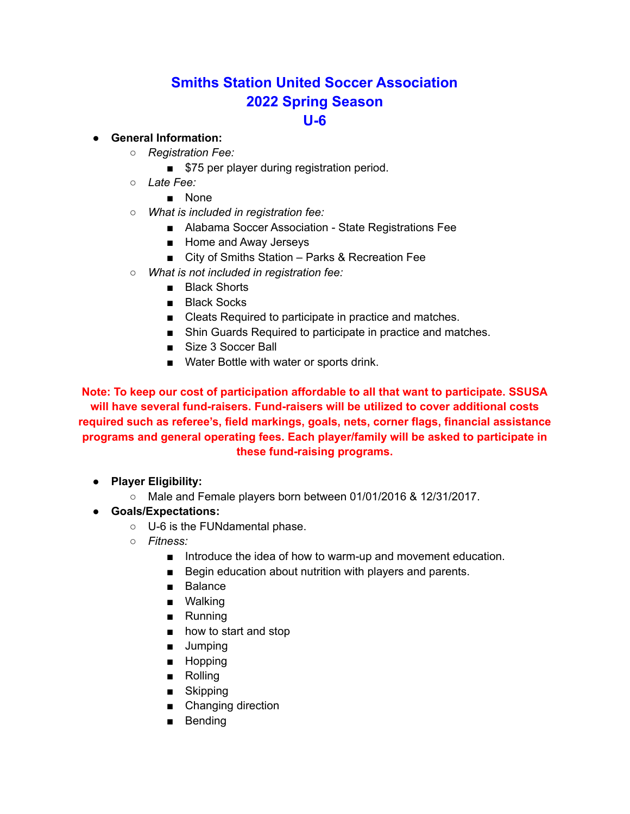# **Smiths Station United Soccer Association 2022 Spring Season U-6**

#### ● **General Information:**

- *Registration Fee:*
	- \$75 per player during registration period.
- *Late Fee:*
	- None
- *What is included in registration fee:*
	- Alabama Soccer Association State Registrations Fee
	- Home and Away Jerseys
	- City of Smiths Station Parks & Recreation Fee
- *What is not included in registration fee:*
	- Black Shorts
	- Black Socks
	- Cleats Required to participate in practice and matches.
	- Shin Guards Required to participate in practice and matches.
	- Size 3 Soccer Ball
	- Water Bottle with water or sports drink.

**Note: To keep our cost of participation affordable to all that want to participate. SSUSA will have several fund-raisers. Fund-raisers will be utilized to cover additional costs required such as referee's, field markings, goals, nets, corner flags, financial assistance programs and general operating fees. Each player/family will be asked to participate in these fund-raising programs.**

- **● Player Eligibility:**
	- Male and Female players born between 01/01/2016 & 12/31/2017.
- **● Goals/Expectations:**
	- U-6 is the FUNdamental phase.
	- *○ Fitness:*
		- Introduce the idea of how to warm-up and movement education.
		- Begin education about nutrition with players and parents.
		- Balance
		- Walking
		- Running
		- how to start and stop
		- Jumping
		- Hopping
		- Rolling
		- Skipping
		- Changing direction
		- Bending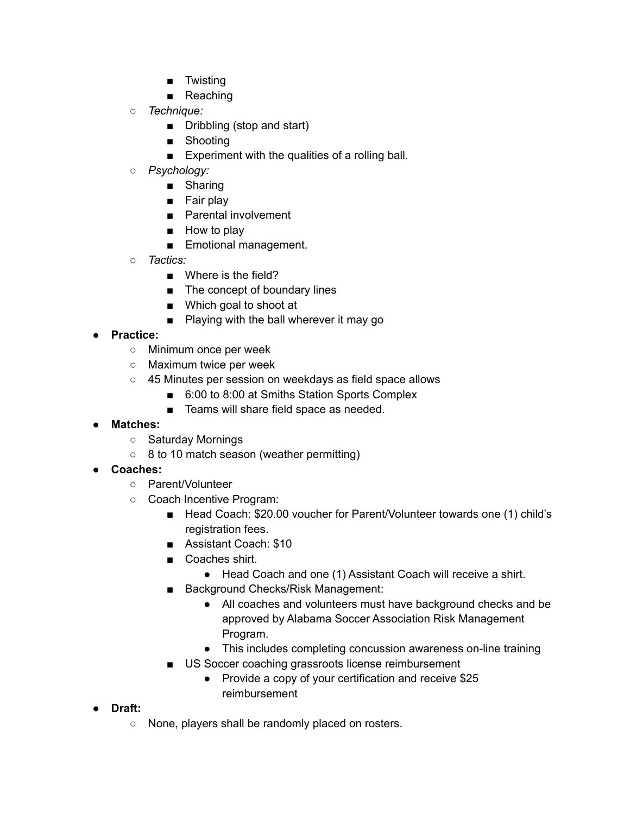- Twisting
- Reaching
- *○ Technique:*
	- Dribbling (stop and start)
	- Shooting
	- Experiment with the qualities of a rolling ball.
- *○ Psychology:*
	- Sharing
	- Fair play
	- Parental involvement
	- How to play
	- Emotional management.
- *○ Tactics:*
	- Where is the field?
	- The concept of boundary lines
	- Which goal to shoot at
	- Playing with the ball wherever it may go
- **Practice:**
	- Minimum once per week
	- Maximum twice per week
	- o 45 Minutes per session on weekdays as field space allows
		- 6:00 to 8:00 at Smiths Station Sports Complex
		- Teams will share field space as needed.
- **Matches:**
	- Saturday Mornings
	- 8 to 10 match season (weather permitting)
- **● Coaches:**
	- Parent/Volunteer
	- Coach Incentive Program:
		- Head Coach: \$20.00 voucher for Parent/Volunteer towards one (1) child's registration fees.
		- Assistant Coach: \$10
		- Coaches shirt.
			- Head Coach and one (1) Assistant Coach will receive a shirt.
		- Background Checks/Risk Management:
			- All coaches and volunteers must have background checks and be approved by Alabama Soccer Association Risk Management Program.
			- This includes completing concussion awareness on-line training
		- US Soccer coaching grassroots license reimbursement
			- Provide a copy of your certification and receive \$25 reimbursement
- **● Draft:**
	- None, players shall be randomly placed on rosters.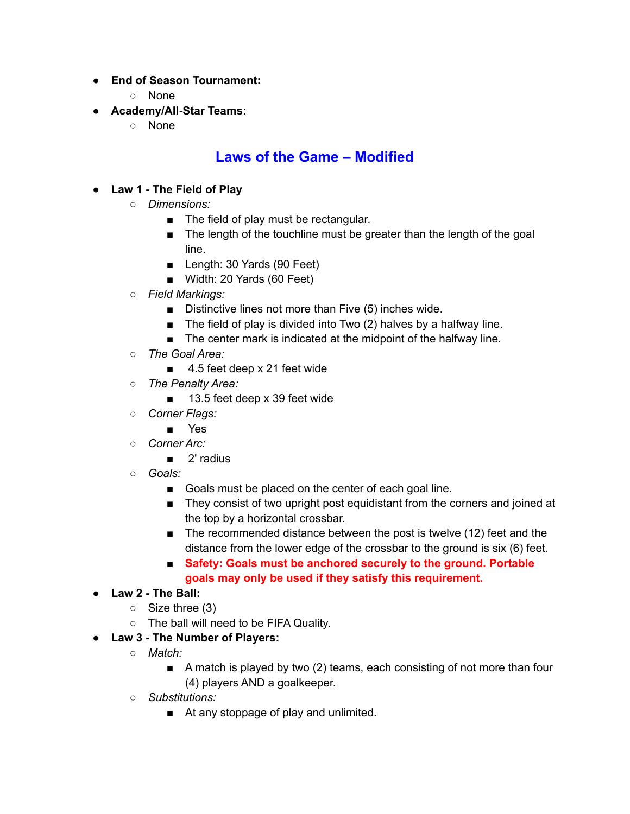- **● End of Season Tournament:**
	- None
- **● Academy/All-Star Teams:**
	- None

# **Laws of the Game – Modified**

### ● **Law 1 - The Field of Play**

- *Dimensions:*
	- The field of play must be rectangular.
	- The length of the touchline must be greater than the length of the goal line.
	- Length: 30 Yards (90 Feet)
	- Width: 20 Yards (60 Feet)
- *○ Field Markings:*
	- Distinctive lines not more than Five (5) inches wide.
	- The field of play is divided into Two (2) halves by a halfway line.
	- The center mark is indicated at the midpoint of the halfway line.
- *The Goal Area:*
	- 4.5 feet deep x 21 feet wide
- *○ The Penalty Area:*
	- 13.5 feet deep x 39 feet wide
- *○ Corner Flags:*
	- Yes
- *Corner Arc:*
	- 2' radius
- *Goals:*
	- Goals must be placed on the center of each goal line.
	- They consist of two upright post equidistant from the corners and joined at the top by a horizontal crossbar.
	- The recommended distance between the post is twelve (12) feet and the distance from the lower edge of the crossbar to the ground is six (6) feet.
	- **Safety: Goals must be anchored securely to the ground. Portable goals may only be used if they satisfy this requirement.**

### ● **Law 2 - The Ball:**

- $\circ$  Size three (3)
- The ball will need to be FIFA Quality.
- **Law 3 - The Number of Players:**
	- *Match:*
		- A match is played by two (2) teams, each consisting of not more than four (4) players AND a goalkeeper.
	- *Substitutions:*
		- At any stoppage of play and unlimited.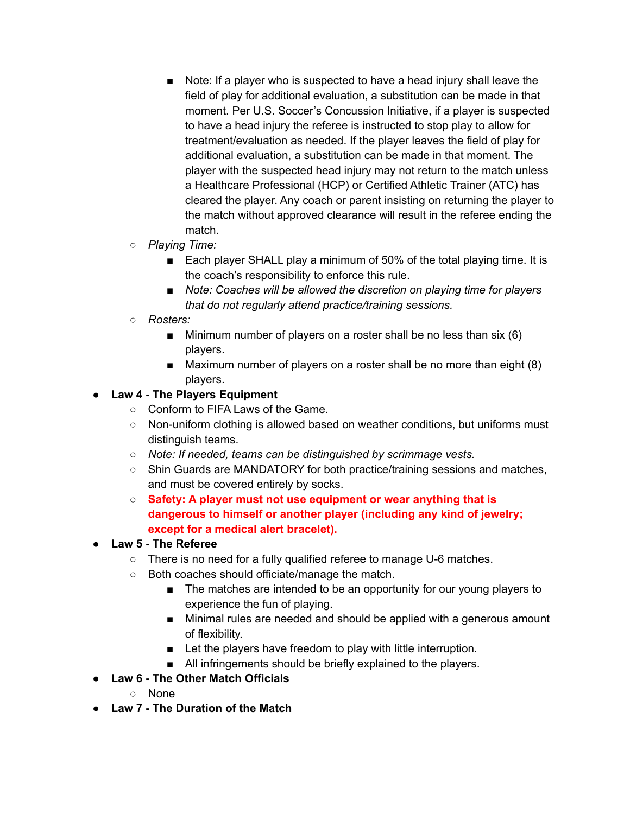- Note: If a player who is suspected to have a head injury shall leave the field of play for additional evaluation, a substitution can be made in that moment. Per U.S. Soccer's Concussion Initiative, if a player is suspected to have a head injury the referee is instructed to stop play to allow for treatment/evaluation as needed. If the player leaves the field of play for additional evaluation, a substitution can be made in that moment. The player with the suspected head injury may not return to the match unless a Healthcare Professional (HCP) or Certified Athletic Trainer (ATC) has cleared the player. Any coach or parent insisting on returning the player to the match without approved clearance will result in the referee ending the match.
- *Playing Time:*
	- Each player SHALL play a minimum of 50% of the total playing time. It is the coach's responsibility to enforce this rule.
	- *Note: Coaches will be allowed the discretion on playing time for players that do not regularly attend practice/training sessions.*
- *Rosters:*
	- $\blacksquare$  Minimum number of players on a roster shall be no less than six (6) players.
	- Maximum number of players on a roster shall be no more than eight (8) players.

#### ● **Law 4 - The Players Equipment**

- Conform to FIFA Laws of the Game.
- Non-uniform clothing is allowed based on weather conditions, but uniforms must distinguish teams.
- *Note: If needed, teams can be distinguished by scrimmage vests.*
- Shin Guards are MANDATORY for both practice/training sessions and matches, and must be covered entirely by socks.
- **Safety: A player must not use equipment or wear anything that is dangerous to himself or another player (including any kind of jewelry; except for a medical alert bracelet).**
- **Law 5 - The Referee**
	- There is no need for a fully qualified referee to manage U-6 matches.
	- Both coaches should officiate/manage the match.
		- The matches are intended to be an opportunity for our young players to experience the fun of playing.
		- Minimal rules are needed and should be applied with a generous amount of flexibility.
		- Let the players have freedom to play with little interruption.
		- All infringements should be briefly explained to the players.
- **Law 6 - The Other Match Officials**
	- None
- **Law 7 - The Duration of the Match**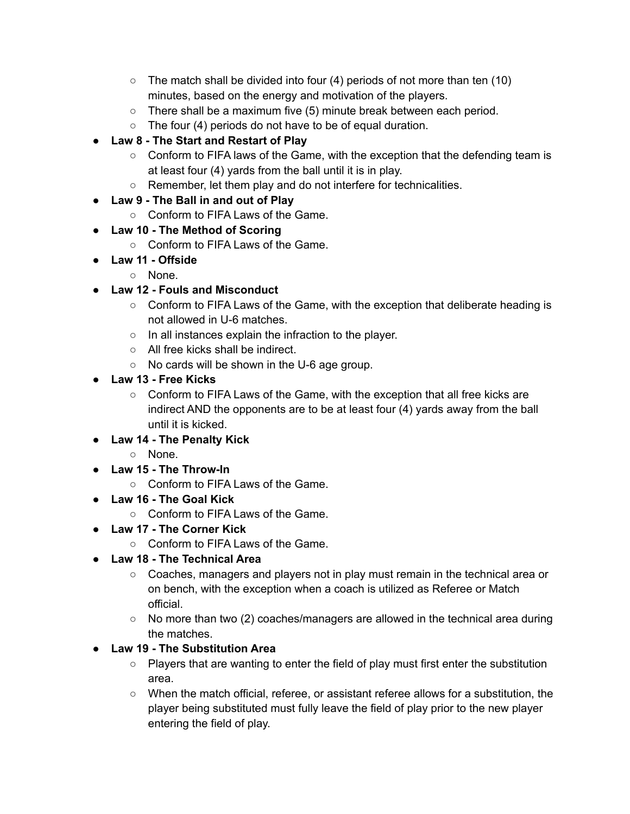- $\circ$  The match shall be divided into four (4) periods of not more than ten (10) minutes, based on the energy and motivation of the players.
- There shall be a maximum five (5) minute break between each period.
- The four (4) periods do not have to be of equal duration.
- **Law 8 - The Start and Restart of Play**
	- Conform to FIFA laws of the Game, with the exception that the defending team is at least four (4) yards from the ball until it is in play.
	- Remember, let them play and do not interfere for technicalities.
- **Law 9 - The Ball in and out of Play**
	- Conform to FIFA Laws of the Game.
- **Law 10 - The Method of Scoring**
	- Conform to FIFA Laws of the Game.
- **Law 11 - Offside**
	- None.
- **Law 12 - Fouls and Misconduct**
	- Conform to FIFA Laws of the Game, with the exception that deliberate heading is not allowed in U-6 matches.
	- In all instances explain the infraction to the player.
	- All free kicks shall be indirect.
	- No cards will be shown in the U-6 age group.
- **Law 13 - Free Kicks**
	- Conform to FIFA Laws of the Game, with the exception that all free kicks are indirect AND the opponents are to be at least four (4) yards away from the ball until it is kicked.
- **Law 14 - The Penalty Kick**
	- None.
- **Law 15 - The Throw-In**
	- Conform to FIFA Laws of the Game.
- **Law 16 - The Goal Kick**
	- Conform to FIFA Laws of the Game.
- **Law 17 - The Corner Kick**
	- Conform to FIFA Laws of the Game.
- **Law 18 - The Technical Area**
	- Coaches, managers and players not in play must remain in the technical area or on bench, with the exception when a coach is utilized as Referee or Match official.
	- No more than two (2) coaches/managers are allowed in the technical area during the matches.
- **Law 19 - The Substitution Area**
	- $\circ$  Players that are wanting to enter the field of play must first enter the substitution area.
	- When the match official, referee, or assistant referee allows for a substitution, the player being substituted must fully leave the field of play prior to the new player entering the field of play.